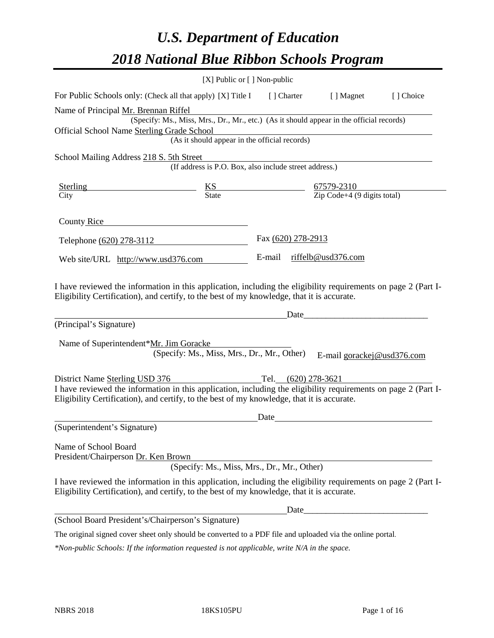# *U.S. Department of Education 2018 National Blue Ribbon Schools Program*

|                                                                                                                                                                                                              | $[X]$ Public or $[ \ ]$ Non-public                                                       |                    |      |                            |           |
|--------------------------------------------------------------------------------------------------------------------------------------------------------------------------------------------------------------|------------------------------------------------------------------------------------------|--------------------|------|----------------------------|-----------|
| For Public Schools only: (Check all that apply) [X] Title I [] Charter                                                                                                                                       |                                                                                          |                    |      | [ ] Magnet                 | [] Choice |
| Name of Principal Mr. Brennan Riffel                                                                                                                                                                         |                                                                                          |                    |      |                            |           |
|                                                                                                                                                                                                              | (Specify: Ms., Miss, Mrs., Dr., Mr., etc.) (As it should appear in the official records) |                    |      |                            |           |
| Official School Name Sterling Grade School                                                                                                                                                                   |                                                                                          |                    |      |                            |           |
|                                                                                                                                                                                                              | (As it should appear in the official records)                                            |                    |      |                            |           |
| School Mailing Address 218 S. 5th Street                                                                                                                                                                     |                                                                                          |                    |      |                            |           |
|                                                                                                                                                                                                              | (If address is P.O. Box, also include street address.)                                   |                    |      |                            |           |
|                                                                                                                                                                                                              |                                                                                          |                    |      |                            |           |
| Sterling KS<br>City City State 67579-2310<br>City Code+4 (9 digits total)                                                                                                                                    |                                                                                          |                    |      |                            |           |
| County Rice                                                                                                                                                                                                  |                                                                                          |                    |      |                            |           |
|                                                                                                                                                                                                              |                                                                                          |                    |      |                            |           |
| Telephone (620) 278-3112                                                                                                                                                                                     |                                                                                          | Fax (620) 278-2913 |      |                            |           |
| Web site/URL http://www.usd376.com                                                                                                                                                                           |                                                                                          |                    |      | E-mail riffelb@usd376.com  |           |
| (Principal's Signature)<br>Name of Superintendent*Mr. Jim Goracke                                                                                                                                            | (Specify: Ms., Miss, Mrs., Dr., Mr., Other)                                              |                    | Date | E-mail gorackej@usd376.com |           |
| District Name Sterling USD 376                                                                                                                                                                               | Tel. (620) 278-3621                                                                      |                    |      |                            |           |
| I have reviewed the information in this application, including the eligibility requirements on page 2 (Part I-<br>Eligibility Certification), and certify, to the best of my knowledge, that it is accurate. |                                                                                          |                    |      |                            |           |
|                                                                                                                                                                                                              |                                                                                          | Date               |      |                            |           |
| (Superintendent's Signature)                                                                                                                                                                                 |                                                                                          |                    |      |                            |           |
| Name of School Board<br>President/Chairperson Dr. Ken Brown                                                                                                                                                  | (Specify: Ms., Miss, Mrs., Dr., Mr., Other)                                              |                    |      |                            |           |
| I have reviewed the information in this application, including the eligibility requirements on page 2 (Part I-<br>Eligibility Certification), and certify, to the best of my knowledge, that it is accurate. |                                                                                          |                    |      |                            |           |
|                                                                                                                                                                                                              |                                                                                          |                    |      |                            |           |
| (School Board President's/Chairperson's Signature)                                                                                                                                                           |                                                                                          |                    |      |                            |           |
| The original signed cover sheet only should be converted to a PDF file and uploaded via the online portal.                                                                                                   |                                                                                          |                    |      |                            |           |

*\*Non-public Schools: If the information requested is not applicable, write N/A in the space.*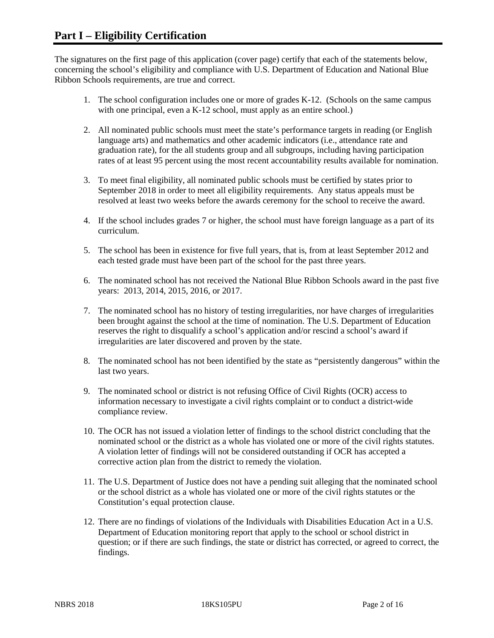The signatures on the first page of this application (cover page) certify that each of the statements below, concerning the school's eligibility and compliance with U.S. Department of Education and National Blue Ribbon Schools requirements, are true and correct.

- 1. The school configuration includes one or more of grades K-12. (Schools on the same campus with one principal, even a K-12 school, must apply as an entire school.)
- 2. All nominated public schools must meet the state's performance targets in reading (or English language arts) and mathematics and other academic indicators (i.e., attendance rate and graduation rate), for the all students group and all subgroups, including having participation rates of at least 95 percent using the most recent accountability results available for nomination.
- 3. To meet final eligibility, all nominated public schools must be certified by states prior to September 2018 in order to meet all eligibility requirements. Any status appeals must be resolved at least two weeks before the awards ceremony for the school to receive the award.
- 4. If the school includes grades 7 or higher, the school must have foreign language as a part of its curriculum.
- 5. The school has been in existence for five full years, that is, from at least September 2012 and each tested grade must have been part of the school for the past three years.
- 6. The nominated school has not received the National Blue Ribbon Schools award in the past five years: 2013, 2014, 2015, 2016, or 2017.
- 7. The nominated school has no history of testing irregularities, nor have charges of irregularities been brought against the school at the time of nomination. The U.S. Department of Education reserves the right to disqualify a school's application and/or rescind a school's award if irregularities are later discovered and proven by the state.
- 8. The nominated school has not been identified by the state as "persistently dangerous" within the last two years.
- 9. The nominated school or district is not refusing Office of Civil Rights (OCR) access to information necessary to investigate a civil rights complaint or to conduct a district-wide compliance review.
- 10. The OCR has not issued a violation letter of findings to the school district concluding that the nominated school or the district as a whole has violated one or more of the civil rights statutes. A violation letter of findings will not be considered outstanding if OCR has accepted a corrective action plan from the district to remedy the violation.
- 11. The U.S. Department of Justice does not have a pending suit alleging that the nominated school or the school district as a whole has violated one or more of the civil rights statutes or the Constitution's equal protection clause.
- 12. There are no findings of violations of the Individuals with Disabilities Education Act in a U.S. Department of Education monitoring report that apply to the school or school district in question; or if there are such findings, the state or district has corrected, or agreed to correct, the findings.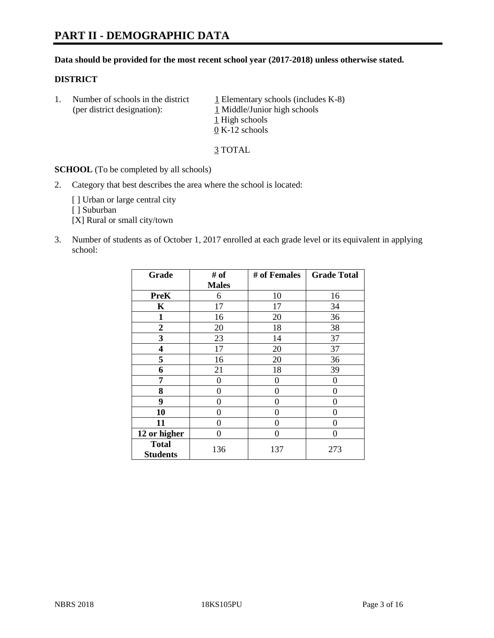# **PART II - DEMOGRAPHIC DATA**

#### **Data should be provided for the most recent school year (2017-2018) unless otherwise stated.**

#### **DISTRICT**

1. Number of schools in the district  $1$  Elementary schools (includes K-8) (per district designation): 1 Middle/Junior high schools 1 High schools 0 K-12 schools

3 TOTAL

**SCHOOL** (To be completed by all schools)

2. Category that best describes the area where the school is located:

[] Urban or large central city

[ ] Suburban

[X] Rural or small city/town

3. Number of students as of October 1, 2017 enrolled at each grade level or its equivalent in applying school:

| Grade                           | # of         | # of Females   | <b>Grade Total</b> |
|---------------------------------|--------------|----------------|--------------------|
|                                 | <b>Males</b> |                |                    |
| <b>PreK</b>                     | 6            | 10             | 16                 |
| K                               | 17           | 17             | 34                 |
| 1                               | 16           | 20             | 36                 |
| $\overline{2}$                  | 20           | 18             | 38                 |
| 3                               | 23           | 14             | 37                 |
| 4                               | 17           | 20             | 37                 |
| 5                               | 16           | 20             | 36                 |
| 6                               | 21           | 18             | 39                 |
| 7                               | 0            | 0              | 0                  |
| 8                               | 0            | $\overline{0}$ | 0                  |
| 9                               | 0            | 0              | 0                  |
| 10                              | 0            | 0              | 0                  |
| 11                              | 0            | 0              | 0                  |
| 12 or higher                    | 0            | 0              | 0                  |
| <b>Total</b><br><b>Students</b> | 136          | 137            | 273                |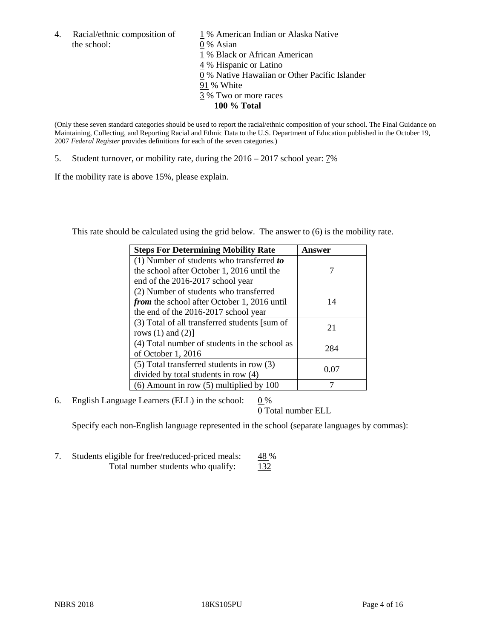4. Racial/ethnic composition of  $1\%$  American Indian or Alaska Native the school: 0 % Asian

 % Black or African American % Hispanic or Latino % Native Hawaiian or Other Pacific Islander 91 % White % Two or more races **100 % Total**

(Only these seven standard categories should be used to report the racial/ethnic composition of your school. The Final Guidance on Maintaining, Collecting, and Reporting Racial and Ethnic Data to the U.S. Department of Education published in the October 19, 2007 *Federal Register* provides definitions for each of the seven categories.)

5. Student turnover, or mobility rate, during the 2016 – 2017 school year: 7%

If the mobility rate is above 15%, please explain.

This rate should be calculated using the grid below. The answer to (6) is the mobility rate.

| <b>Steps For Determining Mobility Rate</b>         | Answer |
|----------------------------------------------------|--------|
| (1) Number of students who transferred to          |        |
| the school after October 1, 2016 until the         |        |
| end of the 2016-2017 school year                   |        |
| (2) Number of students who transferred             |        |
| <i>from</i> the school after October 1, 2016 until | 14     |
| the end of the 2016-2017 school year               |        |
| (3) Total of all transferred students [sum of      | 21     |
| rows $(1)$ and $(2)$ ]                             |        |
| (4) Total number of students in the school as      |        |
| of October 1, 2016                                 | 284    |
| (5) Total transferred students in row (3)          |        |
| divided by total students in row (4)               | 0.07   |
| $(6)$ Amount in row $(5)$ multiplied by 100        |        |

6. English Language Learners (ELL) in the school:  $0\%$ 

0 Total number ELL

Specify each non-English language represented in the school (separate languages by commas):

7. Students eligible for free/reduced-priced meals: 48 % Total number students who qualify: 132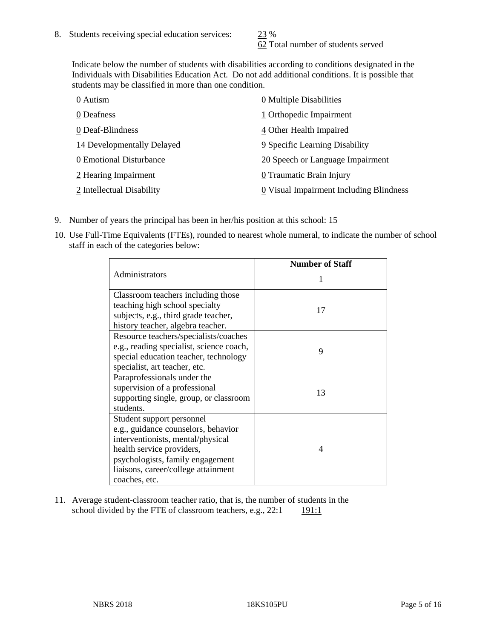62 Total number of students served

Indicate below the number of students with disabilities according to conditions designated in the Individuals with Disabilities Education Act. Do not add additional conditions. It is possible that students may be classified in more than one condition.

| 0 Autism                   | 0 Multiple Disabilities                 |
|----------------------------|-----------------------------------------|
| 0 Deafness                 | 1 Orthopedic Impairment                 |
| 0 Deaf-Blindness           | 4 Other Health Impaired                 |
| 14 Developmentally Delayed | 9 Specific Learning Disability          |
| 0 Emotional Disturbance    | 20 Speech or Language Impairment        |
| 2 Hearing Impairment       | 0 Traumatic Brain Injury                |
| 2 Intellectual Disability  | 0 Visual Impairment Including Blindness |

- 9. Number of years the principal has been in her/his position at this school: 15
- 10. Use Full-Time Equivalents (FTEs), rounded to nearest whole numeral, to indicate the number of school staff in each of the categories below:

|                                                                                                                                                                                                                                | <b>Number of Staff</b> |
|--------------------------------------------------------------------------------------------------------------------------------------------------------------------------------------------------------------------------------|------------------------|
| Administrators                                                                                                                                                                                                                 |                        |
| Classroom teachers including those<br>teaching high school specialty<br>subjects, e.g., third grade teacher,<br>history teacher, algebra teacher.                                                                              | 17                     |
| Resource teachers/specialists/coaches<br>e.g., reading specialist, science coach,<br>special education teacher, technology<br>specialist, art teacher, etc.                                                                    | 9                      |
| Paraprofessionals under the<br>supervision of a professional<br>supporting single, group, or classroom<br>students.                                                                                                            | 13                     |
| Student support personnel<br>e.g., guidance counselors, behavior<br>interventionists, mental/physical<br>health service providers,<br>psychologists, family engagement<br>liaisons, career/college attainment<br>coaches, etc. | 4                      |

11. Average student-classroom teacher ratio, that is, the number of students in the school divided by the FTE of classroom teachers, e.g.,  $22:1$  191:1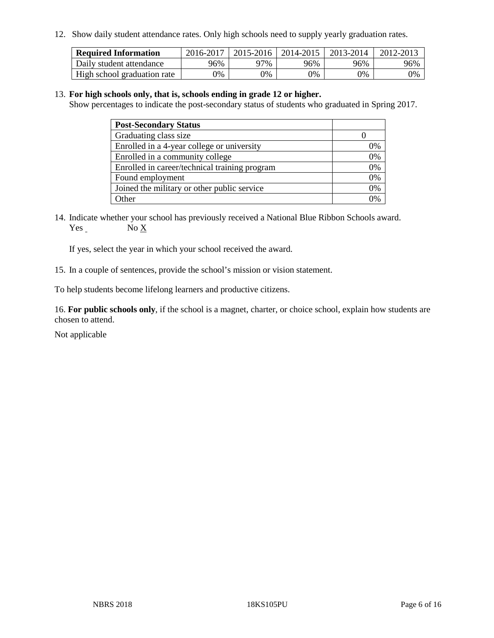12. Show daily student attendance rates. Only high schools need to supply yearly graduation rates.

| <b>Required Information</b> | 2016-2017 | $2015 - 2016$ | 2014-2015 | 2013-2014 | 2012-2013 |
|-----------------------------|-----------|---------------|-----------|-----------|-----------|
| Daily student attendance    | 96%       | 97%           | 96%       | 96%       | 96%       |
| High school graduation rate | 0%        | 0%            | 0%        | 9%        | 0%        |

#### 13. **For high schools only, that is, schools ending in grade 12 or higher.**

Show percentages to indicate the post-secondary status of students who graduated in Spring 2017.

| <b>Post-Secondary Status</b>                  |              |
|-----------------------------------------------|--------------|
| Graduating class size                         |              |
| Enrolled in a 4-year college or university    | 0%           |
| Enrolled in a community college               | 0%           |
| Enrolled in career/technical training program | 0%           |
| Found employment                              | 0%           |
| Joined the military or other public service   | 0%           |
| Other                                         | $\gamma_{0}$ |

14. Indicate whether your school has previously received a National Blue Ribbon Schools award. Yes No X

If yes, select the year in which your school received the award.

15. In a couple of sentences, provide the school's mission or vision statement.

To help students become lifelong learners and productive citizens.

16. **For public schools only**, if the school is a magnet, charter, or choice school, explain how students are chosen to attend.

Not applicable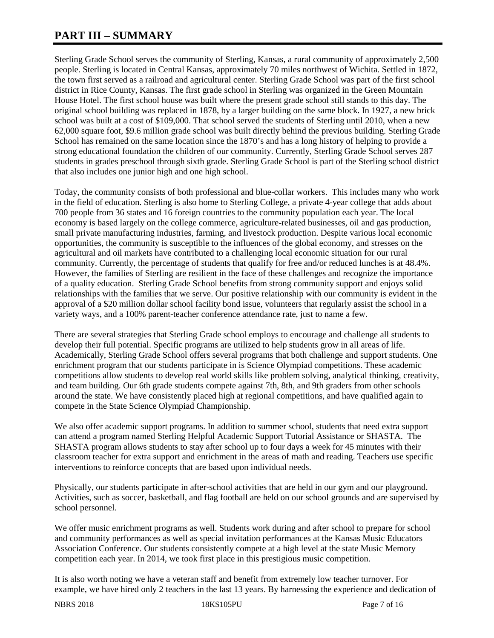# **PART III – SUMMARY**

Sterling Grade School serves the community of Sterling, Kansas, a rural community of approximately 2,500 people. Sterling is located in Central Kansas, approximately 70 miles northwest of Wichita. Settled in 1872, the town first served as a railroad and agricultural center. Sterling Grade School was part of the first school district in Rice County, Kansas. The first grade school in Sterling was organized in the Green Mountain House Hotel. The first school house was built where the present grade school still stands to this day. The original school building was replaced in 1878, by a larger building on the same block. In 1927, a new brick school was built at a cost of \$109,000. That school served the students of Sterling until 2010, when a new 62,000 square foot, \$9.6 million grade school was built directly behind the previous building. Sterling Grade School has remained on the same location since the 1870's and has a long history of helping to provide a strong educational foundation the children of our community. Currently, Sterling Grade School serves 287 students in grades preschool through sixth grade. Sterling Grade School is part of the Sterling school district that also includes one junior high and one high school.

Today, the community consists of both professional and blue-collar workers. This includes many who work in the field of education. Sterling is also home to Sterling College, a private 4-year college that adds about 700 people from 36 states and 16 foreign countries to the community population each year. The local economy is based largely on the college commerce, agriculture-related businesses, oil and gas production, small private manufacturing industries, farming, and livestock production. Despite various local economic opportunities, the community is susceptible to the influences of the global economy, and stresses on the agricultural and oil markets have contributed to a challenging local economic situation for our rural community. Currently, the percentage of students that qualify for free and/or reduced lunches is at 48.4%. However, the families of Sterling are resilient in the face of these challenges and recognize the importance of a quality education. Sterling Grade School benefits from strong community support and enjoys solid relationships with the families that we serve. Our positive relationship with our community is evident in the approval of a \$20 million dollar school facility bond issue, volunteers that regularly assist the school in a variety ways, and a 100% parent-teacher conference attendance rate, just to name a few.

There are several strategies that Sterling Grade school employs to encourage and challenge all students to develop their full potential. Specific programs are utilized to help students grow in all areas of life. Academically, Sterling Grade School offers several programs that both challenge and support students. One enrichment program that our students participate in is Science Olympiad competitions. These academic competitions allow students to develop real world skills like problem solving, analytical thinking, creativity, and team building. Our 6th grade students compete against 7th, 8th, and 9th graders from other schools around the state. We have consistently placed high at regional competitions, and have qualified again to compete in the State Science Olympiad Championship.

We also offer academic support programs. In addition to summer school, students that need extra support can attend a program named Sterling Helpful Academic Support Tutorial Assistance or SHASTA. The SHASTA program allows students to stay after school up to four days a week for 45 minutes with their classroom teacher for extra support and enrichment in the areas of math and reading. Teachers use specific interventions to reinforce concepts that are based upon individual needs.

Physically, our students participate in after-school activities that are held in our gym and our playground. Activities, such as soccer, basketball, and flag football are held on our school grounds and are supervised by school personnel.

We offer music enrichment programs as well. Students work during and after school to prepare for school and community performances as well as special invitation performances at the Kansas Music Educators Association Conference. Our students consistently compete at a high level at the state Music Memory competition each year. In 2014, we took first place in this prestigious music competition.

It is also worth noting we have a veteran staff and benefit from extremely low teacher turnover. For example, we have hired only 2 teachers in the last 13 years. By harnessing the experience and dedication of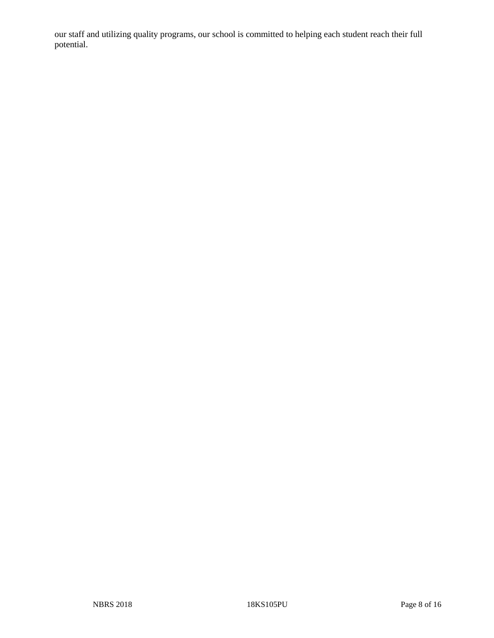our staff and utilizing quality programs, our school is committed to helping each student reach their full potential.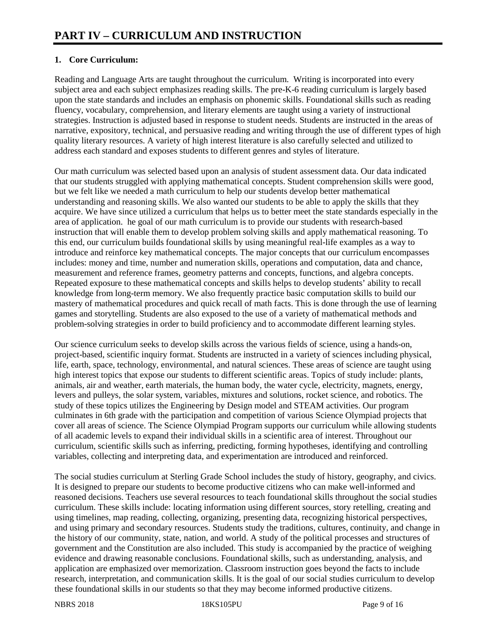# **1. Core Curriculum:**

Reading and Language Arts are taught throughout the curriculum. Writing is incorporated into every subject area and each subject emphasizes reading skills. The pre-K-6 reading curriculum is largely based upon the state standards and includes an emphasis on phonemic skills. Foundational skills such as reading fluency, vocabulary, comprehension, and literary elements are taught using a variety of instructional strategies. Instruction is adjusted based in response to student needs. Students are instructed in the areas of narrative, expository, technical, and persuasive reading and writing through the use of different types of high quality literary resources. A variety of high interest literature is also carefully selected and utilized to address each standard and exposes students to different genres and styles of literature.

Our math curriculum was selected based upon an analysis of student assessment data. Our data indicated that our students struggled with applying mathematical concepts. Student comprehension skills were good, but we felt like we needed a math curriculum to help our students develop better mathematical understanding and reasoning skills. We also wanted our students to be able to apply the skills that they acquire. We have since utilized a curriculum that helps us to better meet the state standards especially in the area of application. he goal of our math curriculum is to provide our students with research-based instruction that will enable them to develop problem solving skills and apply mathematical reasoning. To this end, our curriculum builds foundational skills by using meaningful real-life examples as a way to introduce and reinforce key mathematical concepts. The major concepts that our curriculum encompasses includes: money and time, number and numeration skills, operations and computation, data and chance, measurement and reference frames, geometry patterns and concepts, functions, and algebra concepts. Repeated exposure to these mathematical concepts and skills helps to develop students' ability to recall knowledge from long-term memory. We also frequently practice basic computation skills to build our mastery of mathematical procedures and quick recall of math facts. This is done through the use of learning games and storytelling. Students are also exposed to the use of a variety of mathematical methods and problem-solving strategies in order to build proficiency and to accommodate different learning styles.

Our science curriculum seeks to develop skills across the various fields of science, using a hands-on, project-based, scientific inquiry format. Students are instructed in a variety of sciences including physical, life, earth, space, technology, environmental, and natural sciences. These areas of science are taught using high interest topics that expose our students to different scientific areas. Topics of study include: plants, animals, air and weather, earth materials, the human body, the water cycle, electricity, magnets, energy, levers and pulleys, the solar system, variables, mixtures and solutions, rocket science, and robotics. The study of these topics utilizes the Engineering by Design model and STEAM activities. Our program culminates in 6th grade with the participation and competition of various Science Olympiad projects that cover all areas of science. The Science Olympiad Program supports our curriculum while allowing students of all academic levels to expand their individual skills in a scientific area of interest. Throughout our curriculum, scientific skills such as inferring, predicting, forming hypotheses, identifying and controlling variables, collecting and interpreting data, and experimentation are introduced and reinforced.

The social studies curriculum at Sterling Grade School includes the study of history, geography, and civics. It is designed to prepare our students to become productive citizens who can make well-informed and reasoned decisions. Teachers use several resources to teach foundational skills throughout the social studies curriculum. These skills include: locating information using different sources, story retelling, creating and using timelines, map reading, collecting, organizing, presenting data, recognizing historical perspectives, and using primary and secondary resources. Students study the traditions, cultures, continuity, and change in the history of our community, state, nation, and world. A study of the political processes and structures of government and the Constitution are also included. This study is accompanied by the practice of weighing evidence and drawing reasonable conclusions. Foundational skills, such as understanding, analysis, and application are emphasized over memorization. Classroom instruction goes beyond the facts to include research, interpretation, and communication skills. It is the goal of our social studies curriculum to develop these foundational skills in our students so that they may become informed productive citizens.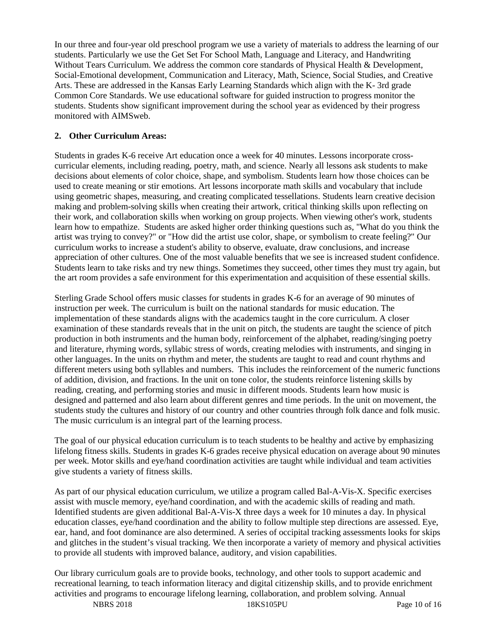In our three and four-year old preschool program we use a variety of materials to address the learning of our students. Particularly we use the Get Set For School Math, Language and Literacy, and Handwriting Without Tears Curriculum. We address the common core standards of Physical Health & Development, Social-Emotional development, Communication and Literacy, Math, Science, Social Studies, and Creative Arts. These are addressed in the Kansas Early Learning Standards which align with the K- 3rd grade Common Core Standards. We use educational software for guided instruction to progress monitor the students. Students show significant improvement during the school year as evidenced by their progress monitored with AIMSweb.

## **2. Other Curriculum Areas:**

Students in grades K-6 receive Art education once a week for 40 minutes. Lessons incorporate crosscurricular elements, including reading, poetry, math, and science. Nearly all lessons ask students to make decisions about elements of color choice, shape, and symbolism. Students learn how those choices can be used to create meaning or stir emotions. Art lessons incorporate math skills and vocabulary that include using geometric shapes, measuring, and creating complicated tessellations. Students learn creative decision making and problem-solving skills when creating their artwork, critical thinking skills upon reflecting on their work, and collaboration skills when working on group projects. When viewing other's work, students learn how to empathize. Students are asked higher order thinking questions such as, "What do you think the artist was trying to convey?" or "How did the artist use color, shape, or symbolism to create feeling?" Our curriculum works to increase a student's ability to observe, evaluate, draw conclusions, and increase appreciation of other cultures. One of the most valuable benefits that we see is increased student confidence. Students learn to take risks and try new things. Sometimes they succeed, other times they must try again, but the art room provides a safe environment for this experimentation and acquisition of these essential skills.

Sterling Grade School offers music classes for students in grades K-6 for an average of 90 minutes of instruction per week. The curriculum is built on the national standards for music education. The implementation of these standards aligns with the academics taught in the core curriculum. A closer examination of these standards reveals that in the unit on pitch, the students are taught the science of pitch production in both instruments and the human body, reinforcement of the alphabet, reading/singing poetry and literature, rhyming words, syllabic stress of words, creating melodies with instruments, and singing in other languages. In the units on rhythm and meter, the students are taught to read and count rhythms and different meters using both syllables and numbers. This includes the reinforcement of the numeric functions of addition, division, and fractions. In the unit on tone color, the students reinforce listening skills by reading, creating, and performing stories and music in different moods. Students learn how music is designed and patterned and also learn about different genres and time periods. In the unit on movement, the students study the cultures and history of our country and other countries through folk dance and folk music. The music curriculum is an integral part of the learning process.

The goal of our physical education curriculum is to teach students to be healthy and active by emphasizing lifelong fitness skills. Students in grades K-6 grades receive physical education on average about 90 minutes per week. Motor skills and eye/hand coordination activities are taught while individual and team activities give students a variety of fitness skills.

As part of our physical education curriculum, we utilize a program called Bal-A-Vis-X. Specific exercises assist with muscle memory, eye/hand coordination, and with the academic skills of reading and math. Identified students are given additional Bal-A-Vis-X three days a week for 10 minutes a day. In physical education classes, eye/hand coordination and the ability to follow multiple step directions are assessed. Eye, ear, hand, and foot dominance are also determined. A series of occipital tracking assessments looks for skips and glitches in the student's visual tracking. We then incorporate a variety of memory and physical activities to provide all students with improved balance, auditory, and vision capabilities.

Our library curriculum goals are to provide books, technology, and other tools to support academic and recreational learning, to teach information literacy and digital citizenship skills, and to provide enrichment activities and programs to encourage lifelong learning, collaboration, and problem solving. Annual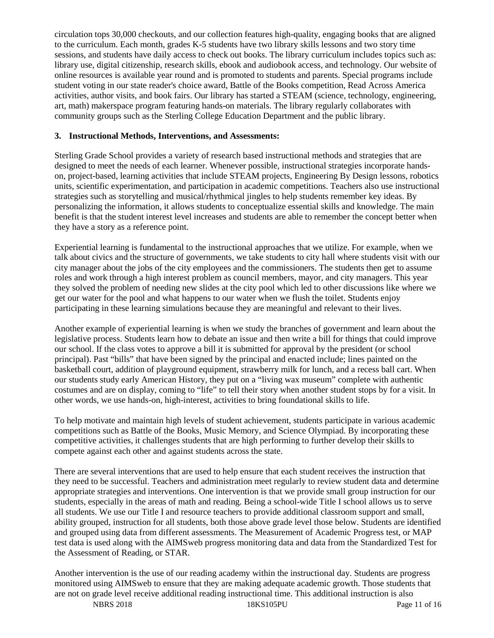circulation tops 30,000 checkouts, and our collection features high-quality, engaging books that are aligned to the curriculum. Each month, grades K-5 students have two library skills lessons and two story time sessions, and students have daily access to check out books. The library curriculum includes topics such as: library use, digital citizenship, research skills, ebook and audiobook access, and technology. Our website of online resources is available year round and is promoted to students and parents. Special programs include student voting in our state reader's choice award, Battle of the Books competition, Read Across America activities, author visits, and book fairs. Our library has started a STEAM (science, technology, engineering, art, math) makerspace program featuring hands-on materials. The library regularly collaborates with community groups such as the Sterling College Education Department and the public library.

#### **3. Instructional Methods, Interventions, and Assessments:**

Sterling Grade School provides a variety of research based instructional methods and strategies that are designed to meet the needs of each learner. Whenever possible, instructional strategies incorporate handson, project-based, learning activities that include STEAM projects, Engineering By Design lessons, robotics units, scientific experimentation, and participation in academic competitions. Teachers also use instructional strategies such as storytelling and musical/rhythmical jingles to help students remember key ideas. By personalizing the information, it allows students to conceptualize essential skills and knowledge. The main benefit is that the student interest level increases and students are able to remember the concept better when they have a story as a reference point.

Experiential learning is fundamental to the instructional approaches that we utilize. For example, when we talk about civics and the structure of governments, we take students to city hall where students visit with our city manager about the jobs of the city employees and the commissioners. The students then get to assume roles and work through a high interest problem as council members, mayor, and city managers. This year they solved the problem of needing new slides at the city pool which led to other discussions like where we get our water for the pool and what happens to our water when we flush the toilet. Students enjoy participating in these learning simulations because they are meaningful and relevant to their lives.

Another example of experiential learning is when we study the branches of government and learn about the legislative process. Students learn how to debate an issue and then write a bill for things that could improve our school. If the class votes to approve a bill it is submitted for approval by the president (or school principal). Past "bills" that have been signed by the principal and enacted include; lines painted on the basketball court, addition of playground equipment, strawberry milk for lunch, and a recess ball cart. When our students study early American History, they put on a "living wax museum" complete with authentic costumes and are on display, coming to "life" to tell their story when another student stops by for a visit. In other words, we use hands-on, high-interest, activities to bring foundational skills to life.

To help motivate and maintain high levels of student achievement, students participate in various academic competitions such as Battle of the Books, Music Memory, and Science Olympiad. By incorporating these competitive activities, it challenges students that are high performing to further develop their skills to compete against each other and against students across the state.

There are several interventions that are used to help ensure that each student receives the instruction that they need to be successful. Teachers and administration meet regularly to review student data and determine appropriate strategies and interventions. One intervention is that we provide small group instruction for our students, especially in the areas of math and reading. Being a school-wide Title I school allows us to serve all students. We use our Title I and resource teachers to provide additional classroom support and small, ability grouped, instruction for all students, both those above grade level those below. Students are identified and grouped using data from different assessments. The Measurement of Academic Progress test, or MAP test data is used along with the AIMSweb progress monitoring data and data from the Standardized Test for the Assessment of Reading, or STAR.

Another intervention is the use of our reading academy within the instructional day. Students are progress monitored using AIMSweb to ensure that they are making adequate academic growth. Those students that are not on grade level receive additional reading instructional time. This additional instruction is also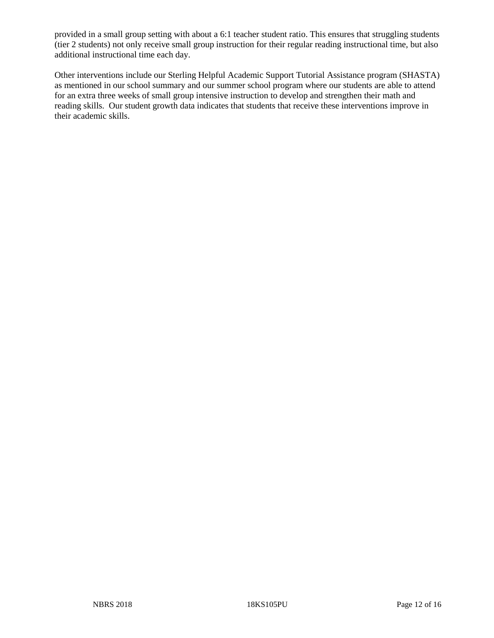provided in a small group setting with about a 6:1 teacher student ratio. This ensures that struggling students (tier 2 students) not only receive small group instruction for their regular reading instructional time, but also additional instructional time each day.

Other interventions include our Sterling Helpful Academic Support Tutorial Assistance program (SHASTA) as mentioned in our school summary and our summer school program where our students are able to attend for an extra three weeks of small group intensive instruction to develop and strengthen their math and reading skills. Our student growth data indicates that students that receive these interventions improve in their academic skills.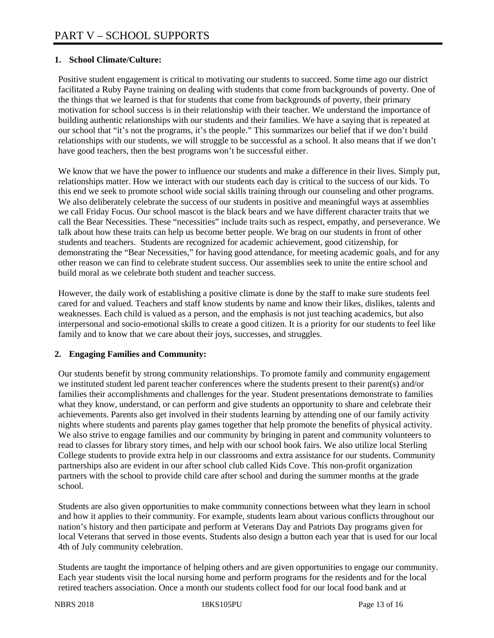## **1. School Climate/Culture:**

Positive student engagement is critical to motivating our students to succeed. Some time ago our district facilitated a Ruby Payne training on dealing with students that come from backgrounds of poverty. One of the things that we learned is that for students that come from backgrounds of poverty, their primary motivation for school success is in their relationship with their teacher. We understand the importance of building authentic relationships with our students and their families. We have a saying that is repeated at our school that "it's not the programs, it's the people." This summarizes our belief that if we don't build relationships with our students, we will struggle to be successful as a school. It also means that if we don't have good teachers, then the best programs won't be successful either.

We know that we have the power to influence our students and make a difference in their lives. Simply put, relationships matter. How we interact with our students each day is critical to the success of our kids. To this end we seek to promote school wide social skills training through our counseling and other programs. We also deliberately celebrate the success of our students in positive and meaningful ways at assemblies we call Friday Focus. Our school mascot is the black bears and we have different character traits that we call the Bear Necessities. These "necessities" include traits such as respect, empathy, and perseverance. We talk about how these traits can help us become better people. We brag on our students in front of other students and teachers. Students are recognized for academic achievement, good citizenship, for demonstrating the "Bear Necessities," for having good attendance, for meeting academic goals, and for any other reason we can find to celebrate student success. Our assemblies seek to unite the entire school and build moral as we celebrate both student and teacher success.

However, the daily work of establishing a positive climate is done by the staff to make sure students feel cared for and valued. Teachers and staff know students by name and know their likes, dislikes, talents and weaknesses. Each child is valued as a person, and the emphasis is not just teaching academics, but also interpersonal and socio-emotional skills to create a good citizen. It is a priority for our students to feel like family and to know that we care about their joys, successes, and struggles.

#### **2. Engaging Families and Community:**

Our students benefit by strong community relationships. To promote family and community engagement we instituted student led parent teacher conferences where the students present to their parent(s) and/or families their accomplishments and challenges for the year. Student presentations demonstrate to families what they know, understand, or can perform and give students an opportunity to share and celebrate their achievements. Parents also get involved in their students learning by attending one of our family activity nights where students and parents play games together that help promote the benefits of physical activity. We also strive to engage families and our community by bringing in parent and community volunteers to read to classes for library story times, and help with our school book fairs. We also utilize local Sterling College students to provide extra help in our classrooms and extra assistance for our students. Community partnerships also are evident in our after school club called Kids Cove. This non-profit organization partners with the school to provide child care after school and during the summer months at the grade school.

Students are also given opportunities to make community connections between what they learn in school and how it applies to their community. For example, students learn about various conflicts throughout our nation's history and then participate and perform at Veterans Day and Patriots Day programs given for local Veterans that served in those events. Students also design a button each year that is used for our local 4th of July community celebration.

Students are taught the importance of helping others and are given opportunities to engage our community. Each year students visit the local nursing home and perform programs for the residents and for the local retired teachers association. Once a month our students collect food for our local food bank and at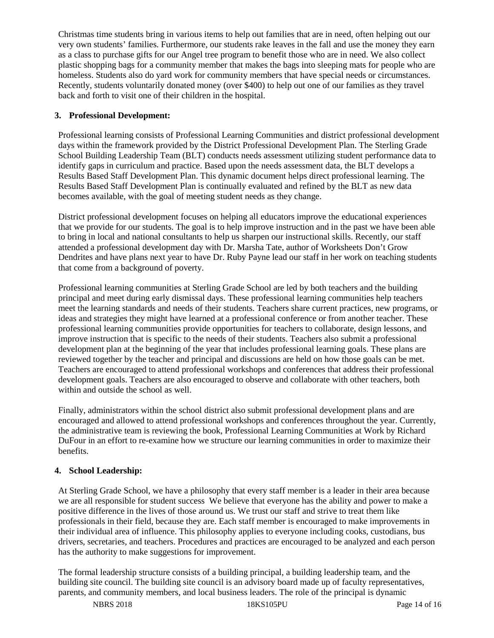Christmas time students bring in various items to help out families that are in need, often helping out our very own students' families. Furthermore, our students rake leaves in the fall and use the money they earn as a class to purchase gifts for our Angel tree program to benefit those who are in need. We also collect plastic shopping bags for a community member that makes the bags into sleeping mats for people who are homeless. Students also do yard work for community members that have special needs or circumstances. Recently, students voluntarily donated money (over \$400) to help out one of our families as they travel back and forth to visit one of their children in the hospital.

# **3. Professional Development:**

Professional learning consists of Professional Learning Communities and district professional development days within the framework provided by the District Professional Development Plan. The Sterling Grade School Building Leadership Team (BLT) conducts needs assessment utilizing student performance data to identify gaps in curriculum and practice. Based upon the needs assessment data, the BLT develops a Results Based Staff Development Plan. This dynamic document helps direct professional learning. The Results Based Staff Development Plan is continually evaluated and refined by the BLT as new data becomes available, with the goal of meeting student needs as they change.

District professional development focuses on helping all educators improve the educational experiences that we provide for our students. The goal is to help improve instruction and in the past we have been able to bring in local and national consultants to help us sharpen our instructional skills. Recently, our staff attended a professional development day with Dr. Marsha Tate, author of Worksheets Don't Grow Dendrites and have plans next year to have Dr. Ruby Payne lead our staff in her work on teaching students that come from a background of poverty.

Professional learning communities at Sterling Grade School are led by both teachers and the building principal and meet during early dismissal days. These professional learning communities help teachers meet the learning standards and needs of their students. Teachers share current practices, new programs, or ideas and strategies they might have learned at a professional conference or from another teacher. These professional learning communities provide opportunities for teachers to collaborate, design lessons, and improve instruction that is specific to the needs of their students. Teachers also submit a professional development plan at the beginning of the year that includes professional learning goals. These plans are reviewed together by the teacher and principal and discussions are held on how those goals can be met. Teachers are encouraged to attend professional workshops and conferences that address their professional development goals. Teachers are also encouraged to observe and collaborate with other teachers, both within and outside the school as well.

Finally, administrators within the school district also submit professional development plans and are encouraged and allowed to attend professional workshops and conferences throughout the year. Currently, the administrative team is reviewing the book, Professional Learning Communities at Work by Richard DuFour in an effort to re-examine how we structure our learning communities in order to maximize their benefits.

## **4. School Leadership:**

At Sterling Grade School, we have a philosophy that every staff member is a leader in their area because we are all responsible for student success We believe that everyone has the ability and power to make a positive difference in the lives of those around us. We trust our staff and strive to treat them like professionals in their field, because they are. Each staff member is encouraged to make improvements in their individual area of influence. This philosophy applies to everyone including cooks, custodians, bus drivers, secretaries, and teachers. Procedures and practices are encouraged to be analyzed and each person has the authority to make suggestions for improvement.

The formal leadership structure consists of a building principal, a building leadership team, and the building site council. The building site council is an advisory board made up of faculty representatives, parents, and community members, and local business leaders. The role of the principal is dynamic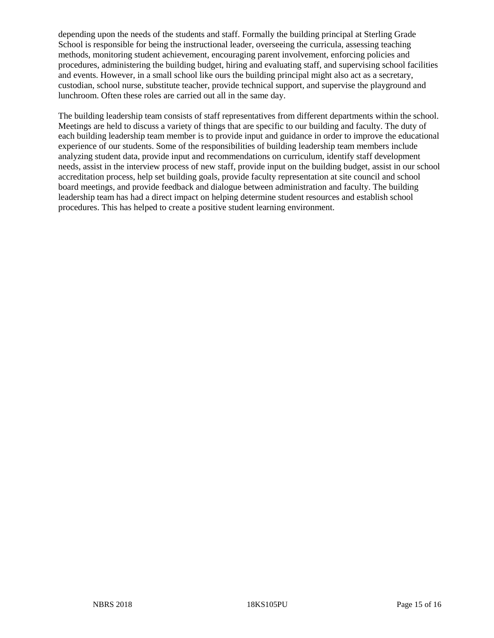depending upon the needs of the students and staff. Formally the building principal at Sterling Grade School is responsible for being the instructional leader, overseeing the curricula, assessing teaching methods, monitoring student achievement, encouraging parent involvement, enforcing policies and procedures, administering the building budget, hiring and evaluating staff, and supervising school facilities and events. However, in a small school like ours the building principal might also act as a secretary, custodian, school nurse, substitute teacher, provide technical support, and supervise the playground and lunchroom. Often these roles are carried out all in the same day.

The building leadership team consists of staff representatives from different departments within the school. Meetings are held to discuss a variety of things that are specific to our building and faculty. The duty of each building leadership team member is to provide input and guidance in order to improve the educational experience of our students. Some of the responsibilities of building leadership team members include analyzing student data, provide input and recommendations on curriculum, identify staff development needs, assist in the interview process of new staff, provide input on the building budget, assist in our school accreditation process, help set building goals, provide faculty representation at site council and school board meetings, and provide feedback and dialogue between administration and faculty. The building leadership team has had a direct impact on helping determine student resources and establish school procedures. This has helped to create a positive student learning environment.